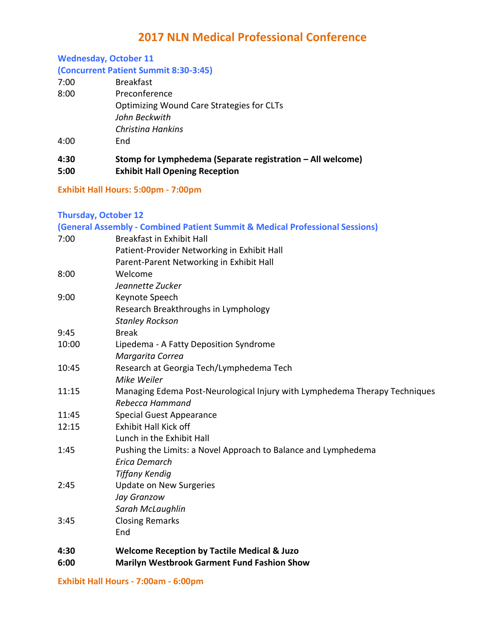# **2017 NLN Medical Professional Conference**

## **Wednesday, October 11**

#### **(Concurrent Patient Summit 8:30-3:45)**

| 4:30<br>5:00 | Stomp for Lymphedema (Separate registration – All welcome)<br><b>Exhibit Hall Opening Reception</b> |
|--------------|-----------------------------------------------------------------------------------------------------|
| 4:00         | Christing Hankins<br>End                                                                            |
|              | <b>Optimizing Wound Care Strategies for CLTs</b><br>John Beckwith                                   |
| 8:00         | Preconference                                                                                       |
| 7:00         | <b>Breakfast</b>                                                                                    |

## **Exhibit Hall Hours: 5:00pm - 7:00pm**

#### **Thursday, October 12**

|       | (General Assembly - Combined Patient Summit & Medical Professional Sessions) |
|-------|------------------------------------------------------------------------------|
| 7:00  | <b>Breakfast in Exhibit Hall</b>                                             |
|       | Patient-Provider Networking in Exhibit Hall                                  |
|       | Parent-Parent Networking in Exhibit Hall                                     |
| 8:00  | Welcome                                                                      |
|       | Jeannette Zucker                                                             |
| 9:00  | Keynote Speech                                                               |
|       | Research Breakthroughs in Lymphology                                         |
|       | <b>Stanley Rockson</b>                                                       |
| 9:45  | <b>Break</b>                                                                 |
| 10:00 | Lipedema - A Fatty Deposition Syndrome                                       |
|       | Margarita Correa                                                             |
| 10:45 | Research at Georgia Tech/Lymphedema Tech                                     |
|       | Mike Weiler                                                                  |
| 11:15 | Managing Edema Post-Neurological Injury with Lymphedema Therapy Techniques   |
|       | Rebecca Hammand                                                              |
| 11:45 | <b>Special Guest Appearance</b>                                              |
| 12:15 | <b>Exhibit Hall Kick off</b>                                                 |
|       | Lunch in the Exhibit Hall                                                    |
| 1:45  | Pushing the Limits: a Novel Approach to Balance and Lymphedema               |
|       | Erica Demarch                                                                |
|       | <b>Tiffany Kendig</b>                                                        |
| 2:45  | <b>Update on New Surgeries</b>                                               |
|       | Jay Granzow                                                                  |
|       | Sarah McLaughlin                                                             |
| 3:45  | <b>Closing Remarks</b>                                                       |
|       | End                                                                          |
| 4:30  | <b>Welcome Reception by Tactile Medical &amp; Juzo</b>                       |
| 6:00  | <b>Marilyn Westbrook Garment Fund Fashion Show</b>                           |